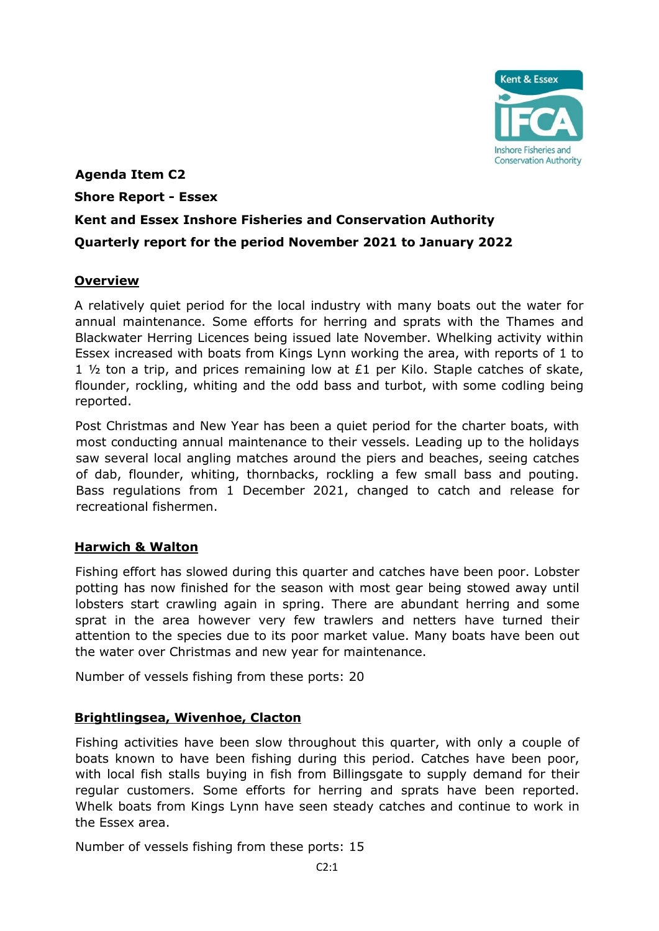

# **Agenda Item C2 Shore Report - Essex Kent and Essex Inshore Fisheries and Conservation Authority Quarterly report for the period November 2021 to January 2022**

## **Overview**

A relatively quiet period for the local industry with many boats out the water for annual maintenance. Some efforts for herring and sprats with the Thames and Blackwater Herring Licences being issued late November. Whelking activity within Essex increased with boats from Kings Lynn working the area, with reports of 1 to 1  $\frac{1}{2}$  ton a trip, and prices remaining low at £1 per Kilo. Staple catches of skate, flounder, rockling, whiting and the odd bass and turbot, with some codling being reported.

Post Christmas and New Year has been a quiet period for the charter boats, with most conducting annual maintenance to their vessels. Leading up to the holidays saw several local angling matches around the piers and beaches, seeing catches of dab, flounder, whiting, thornbacks, rockling a few small bass and pouting. Bass regulations from 1 December 2021, changed to catch and release for recreational fishermen.

# **Harwich & Walton**

Fishing effort has slowed during this quarter and catches have been poor. Lobster potting has now finished for the season with most gear being stowed away until lobsters start crawling again in spring. There are abundant herring and some sprat in the area however very few trawlers and netters have turned their attention to the species due to its poor market value. Many boats have been out the water over Christmas and new year for maintenance.

Number of vessels fishing from these ports: 20

# **Brightlingsea, Wivenhoe, Clacton**

Fishing activities have been slow throughout this quarter, with only a couple of boats known to have been fishing during this period. Catches have been poor, with local fish stalls buying in fish from Billingsgate to supply demand for their regular customers. Some efforts for herring and sprats have been reported. Whelk boats from Kings Lynn have seen steady catches and continue to work in the Essex area.

Number of vessels fishing from these ports: 15